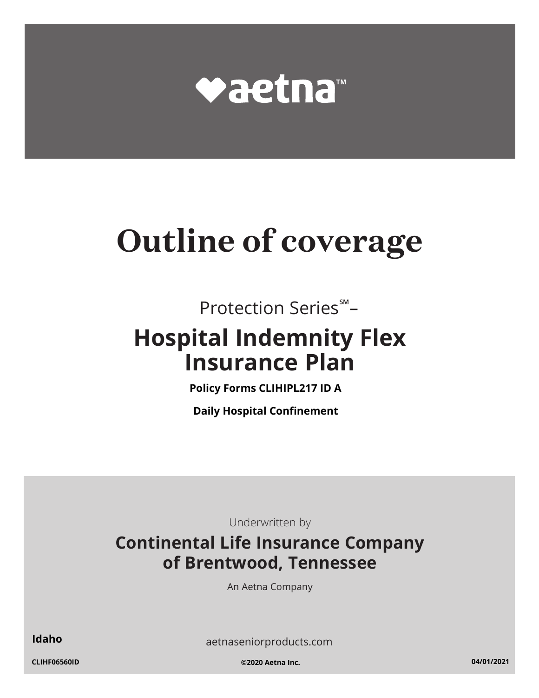

# **Outline of coverage**

Protection Series℠ –

## **Hospital Indemnity Flex Insurance Plan**

**Policy Forms CLIHIPL217 ID A**

**Daily Hospital Confinement**

Underwritten by

### **Continental Life Insurance Company of Brentwood, Tennessee**

An Aetna Company

aetnaseniorproducts.com **Idaho**

**CLIHF06560ID ©2020 Aetna Inc. 04/01/2021**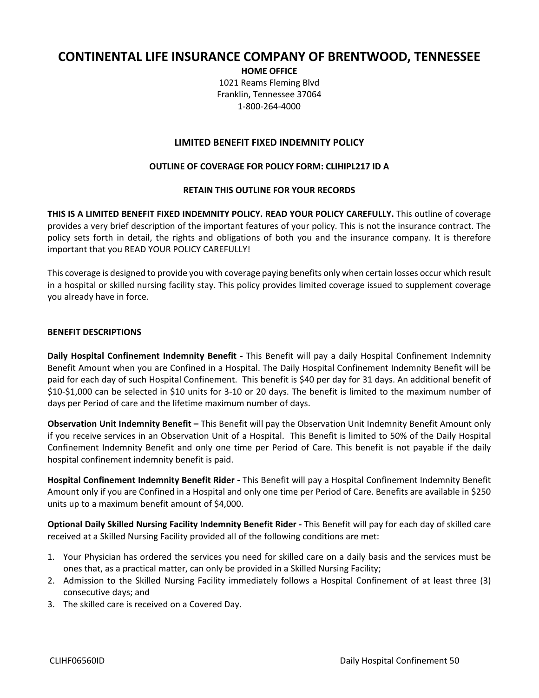#### **CONTINENTAL LIFE INSURANCE COMPANY OF BRENTWOOD, TENNESSEE**

**HOME OFFICE** 1021 Reams Fleming Blvd Franklin, Tennessee 37064 1‐800‐264‐4000

#### **LIMITED BENEFIT FIXED INDEMNITY POLICY**

#### **OUTLINE OF COVERAGE FOR POLICY FORM: CLIHIPL217 ID A**

#### **RETAIN THIS OUTLINE FOR YOUR RECORDS**

**THIS IS A LIMITED BENEFIT FIXED INDEMNITY POLICY. READ YOUR POLICY CAREFULLY.** This outline of coverage provides a very brief description of the important features of your policy. This is not the insurance contract. The policy sets forth in detail, the rights and obligations of both you and the insurance company. It is therefore important that you READ YOUR POLICY CAREFULLY!

This coverage is designed to provide you with coverage paying benefits only when certain losses occur which result in a hospital or skilled nursing facility stay. This policy provides limited coverage issued to supplement coverage you already have in force.

#### **BENEFIT DESCRIPTIONS**

**Daily Hospital Confinement Indemnity Benefit ‐** This Benefit will pay a daily Hospital Confinement Indemnity Benefit Amount when you are Confined in a Hospital. The Daily Hospital Confinement Indemnity Benefit will be paid for each day of such Hospital Confinement. This benefit is \$40 per day for 31 days. An additional benefit of \$10‐\$1,000 can be selected in \$10 units for 3‐10 or 20 days. The benefit is limited to the maximum number of days per Period of care and the lifetime maximum number of days.

**Observation Unit Indemnity Benefit –** This Benefit will pay the Observation Unit Indemnity Benefit Amount only if you receive services in an Observation Unit of a Hospital. This Benefit is limited to 50% of the Daily Hospital Confinement Indemnity Benefit and only one time per Period of Care. This benefit is not payable if the daily hospital confinement indemnity benefit is paid.

**Hospital Confinement Indemnity Benefit Rider ‐** This Benefit will pay a Hospital Confinement Indemnity Benefit Amount only if you are Confined in a Hospital and only one time per Period of Care. Benefits are available in \$250 units up to a maximum benefit amount of \$4,000.

**Optional Daily Skilled Nursing Facility Indemnity Benefit Rider ‐** This Benefit will pay for each day of skilled care received at a Skilled Nursing Facility provided all of the following conditions are met:

- 1. Your Physician has ordered the services you need for skilled care on a daily basis and the services must be ones that, as a practical matter, can only be provided in a Skilled Nursing Facility;
- 2. Admission to the Skilled Nursing Facility immediately follows a Hospital Confinement of at least three (3) consecutive days; and
- 3. The skilled care is received on a Covered Day.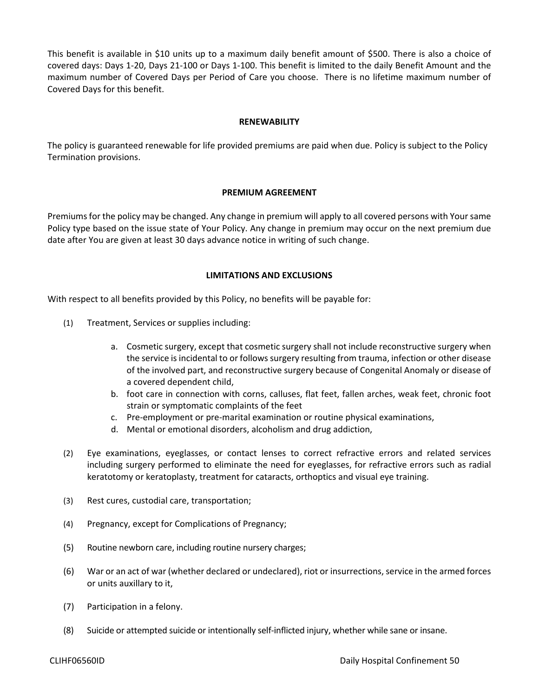This benefit is available in \$10 units up to a maximum daily benefit amount of \$500. There is also a choice of covered days: Days 1‐20, Days 21‐100 or Days 1‐100. This benefit is limited to the daily Benefit Amount and the maximum number of Covered Days per Period of Care you choose. There is no lifetime maximum number of Covered Days for this benefit.

#### **RENEWABILITY**

The policy is guaranteed renewable for life provided premiums are paid when due. Policy is subject to the Policy Termination provisions.

#### **PREMIUM AGREEMENT**

Premiumsfor the policy may be changed. Any change in premium will apply to all covered persons with Yoursame Policy type based on the issue state of Your Policy. Any change in premium may occur on the next premium due date after You are given at least 30 days advance notice in writing of such change.

#### **LIMITATIONS AND EXCLUSIONS**

With respect to all benefits provided by this Policy, no benefits will be payable for:

- (1) Treatment, Services or supplies including:
	- a. Cosmetic surgery, except that cosmetic surgery shall not include reconstructive surgery when the service is incidental to or follows surgery resulting from trauma, infection or other disease of the involved part, and reconstructive surgery because of Congenital Anomaly or disease of a covered dependent child,
	- b. foot care in connection with corns, calluses, flat feet, fallen arches, weak feet, chronic foot strain or symptomatic complaints of the feet
	- c. Pre‐employment or pre‐marital examination or routine physical examinations,
	- d. Mental or emotional disorders, alcoholism and drug addiction,
- (2) Eye examinations, eyeglasses, or contact lenses to correct refractive errors and related services including surgery performed to eliminate the need for eyeglasses, for refractive errors such as radial keratotomy or keratoplasty, treatment for cataracts, orthoptics and visual eye training.
- (3) Rest cures, custodial care, transportation;
- (4) Pregnancy, except for Complications of Pregnancy;
- (5) Routine newborn care, including routine nursery charges;
- (6) War or an act of war (whether declared or undeclared), riot or insurrections, service in the armed forces or units auxillary to it,
- (7) Participation in a felony.
- (8) Suicide or attempted suicide or intentionally self‐inflicted injury, whether while sane or insane.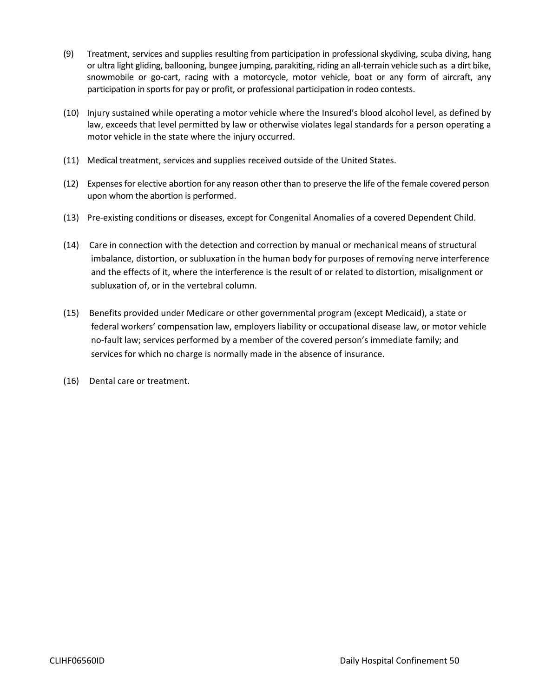- (9) Treatment, services and supplies resulting from participation in professional skydiving, scuba diving, hang or ultra light gliding, ballooning, bungee jumping, parakiting, riding an all‐terrain vehicle such as a dirt bike, snowmobile or go-cart, racing with a motorcycle, motor vehicle, boat or any form of aircraft, any participation in sports for pay or profit, or professional participation in rodeo contests.
- (10) Injury sustained while operating a motor vehicle where the Insured's blood alcohol level, as defined by law, exceeds that level permitted by law or otherwise violates legal standards for a person operating a motor vehicle in the state where the injury occurred.
- (11) Medical treatment, services and supplies received outside of the United States.
- (12) Expenses for elective abortion for any reason other than to preserve the life of the female covered person upon whom the abortion is performed.
- (13) Pre‐existing conditions or diseases, except for Congenital Anomalies of a covered Dependent Child.
- (14) Care in connection with the detection and correction by manual or mechanical means of structural imbalance, distortion, or subluxation in the human body for purposes of removing nerve interference and the effects of it, where the interference is the result of or related to distortion, misalignment or subluxation of, or in the vertebral column.
- (15) Benefits provided under Medicare or other governmental program (except Medicaid), a state or federal workers' compensation law, employers liability or occupational disease law, or motor vehicle no-fault law; services performed by a member of the covered person's immediate family; and services for which no charge is normally made in the absence of insurance.
- (16) Dental care or treatment.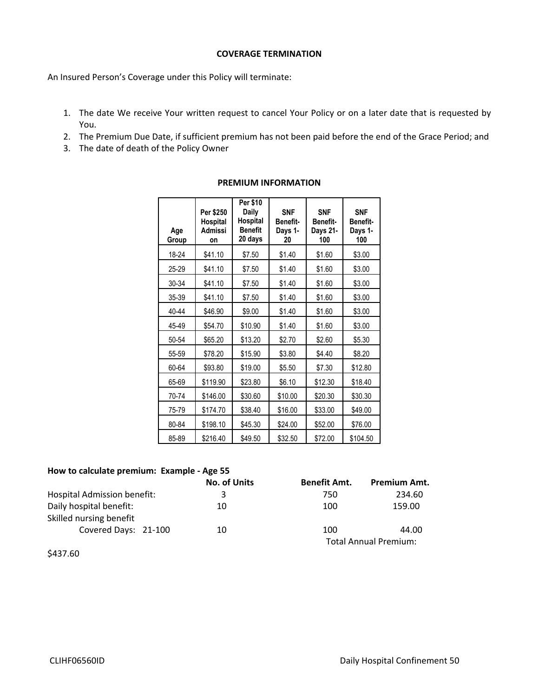#### **COVERAGE TERMINATION**

An Insured Person's Coverage under this Policy will terminate:

- 1. The date We receive Your written request to cancel Your Policy or on a later date that is requested by You.
- 2. The Premium Due Date, if sufficient premium has not been paid before the end of the Grace Period; and
- 3. The date of death of the Policy Owner

| Age<br>Group | Per \$250<br>Hospital<br><b>Admissi</b><br>on | Per \$10<br>Daily<br>Hospital<br><b>Benefit</b><br>20 days | <b>SNF</b><br><b>Benefit-</b><br>Days 1-<br>20 | <b>SNF</b><br>Benefit-<br>Days 21-<br>100 | <b>SNF</b><br><b>Benefit-</b><br>Days 1-<br>100 |
|--------------|-----------------------------------------------|------------------------------------------------------------|------------------------------------------------|-------------------------------------------|-------------------------------------------------|
| 18-24        | \$41.10                                       | \$7.50                                                     | \$1.40                                         | \$1.60                                    | \$3.00                                          |
| 25-29        | \$41.10                                       | \$7.50                                                     | \$1.40                                         | \$1.60                                    | \$3.00                                          |
| 30-34        | \$41.10                                       | \$7.50                                                     | \$1.40                                         | \$1.60                                    | \$3.00                                          |
| 35-39        | \$41.10                                       | \$7.50                                                     | \$1.40                                         | \$1.60                                    | \$3.00                                          |
| 40-44        | \$46.90                                       | \$9.00                                                     | \$1.40                                         | \$1.60                                    | \$3.00                                          |
| 45-49        | \$54.70                                       | \$10.90                                                    | \$1.40                                         | \$1.60                                    | \$3.00                                          |
| 50-54        | \$65.20                                       | \$13.20                                                    | \$2.70                                         | \$2.60                                    | \$5.30                                          |
| 55-59        | \$78.20                                       | \$15.90                                                    | \$3.80                                         | \$4.40                                    | \$8.20                                          |
| 60-64        | \$93.80                                       | \$19.00                                                    | \$5.50                                         | \$7.30                                    | \$12.80                                         |
| 65-69        | \$119.90                                      | \$23.80                                                    | \$6.10                                         | \$12.30                                   | \$18.40                                         |
| 70-74        | \$146.00                                      | \$30.60                                                    | \$10.00                                        | \$20.30                                   | \$30.30                                         |
| 75-79        | \$174.70                                      | \$38.40                                                    | \$16.00                                        | \$33.00                                   | \$49.00                                         |
| 80-84        | \$198.10                                      | \$45.30                                                    | \$24.00                                        | \$52.00                                   | \$76.00                                         |
| 85-89        | \$216.40                                      | \$49.50                                                    | \$32.50                                        | \$72.00                                   | \$104.50                                        |

#### **PREMIUM INFORMATION**

#### **How to calculate premium: Example ‐ Age 55**

|                                                    | <b>No. of Units</b> | <b>Benefit Amt.</b> | <b>Premium Amt.</b>          |  |
|----------------------------------------------------|---------------------|---------------------|------------------------------|--|
| <b>Hospital Admission benefit:</b>                 | 3                   | 750                 | 234.60                       |  |
| Daily hospital benefit:<br>Skilled nursing benefit | 10                  | 100                 | 159.00                       |  |
| Covered Days: 21-100                               | 10                  | 100                 | 44.00                        |  |
|                                                    |                     |                     | <b>Total Annual Premium:</b> |  |

<sup>\$437.60</sup>